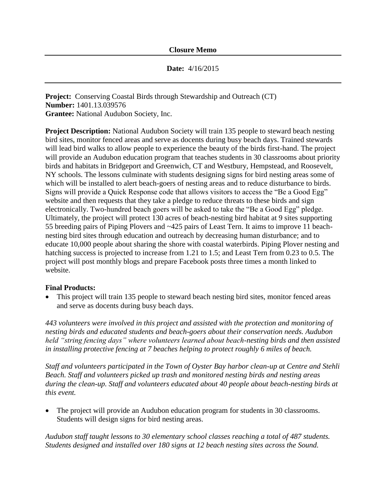## **Date:** 4/16/2015

**Project:** Conserving Coastal Birds through Stewardship and Outreach (CT) **Number:** 1401.13.039576 **Grantee:** National Audubon Society, Inc.

**Project Description:** National Audubon Society will train 135 people to steward beach nesting bird sites, monitor fenced areas and serve as docents during busy beach days. Trained stewards will lead bird walks to allow people to experience the beauty of the birds first-hand. The project will provide an Audubon education program that teaches students in 30 classrooms about priority birds and habitats in Bridgeport and Greenwich, CT and Westbury, Hempstead, and Roosevelt, NY schools. The lessons culminate with students designing signs for bird nesting areas some of which will be installed to alert beach-goers of nesting areas and to reduce disturbance to birds. Signs will provide a Quick Response code that allows visitors to access the "Be a Good Egg" website and then requests that they take a pledge to reduce threats to these birds and sign electronically. Two-hundred beach goers will be asked to take the "Be a Good Egg" pledge. Ultimately, the project will protect 130 acres of beach-nesting bird habitat at 9 sites supporting 55 breeding pairs of Piping Plovers and ~425 pairs of Least Tern. It aims to improve 11 beachnesting bird sites through education and outreach by decreasing human disturbance; and to educate 10,000 people about sharing the shore with coastal waterbirds. Piping Plover nesting and hatching success is projected to increase from 1.21 to 1.5; and Least Tern from 0.23 to 0.5. The project will post monthly blogs and prepare Facebook posts three times a month linked to website.

## **Final Products:**

 This project will train 135 people to steward beach nesting bird sites, monitor fenced areas and serve as docents during busy beach days.

*443 volunteers were involved in this project and assisted with the protection and monitoring of nesting birds and educated students and beach-goers about their conservation needs. Audubon held "string fencing days" where volunteers learned about beach-nesting birds and then assisted in installing protective fencing at 7 beaches helping to protect roughly 6 miles of beach.* 

*Staff and volunteers participated in the Town of Oyster Bay harbor clean-up at Centre and Stehli Beach. Staff and volunteers picked up trash and monitored nesting birds and nesting areas during the clean-up. Staff and volunteers educated about 40 people about beach-nesting birds at this event.*

• The project will provide an Audubon education program for students in 30 classrooms. Students will design signs for bird nesting areas.

*Audubon staff taught lessons to 30 elementary school classes reaching a total of 487 students. Students designed and installed over 180 signs at 12 beach nesting sites across the Sound.*